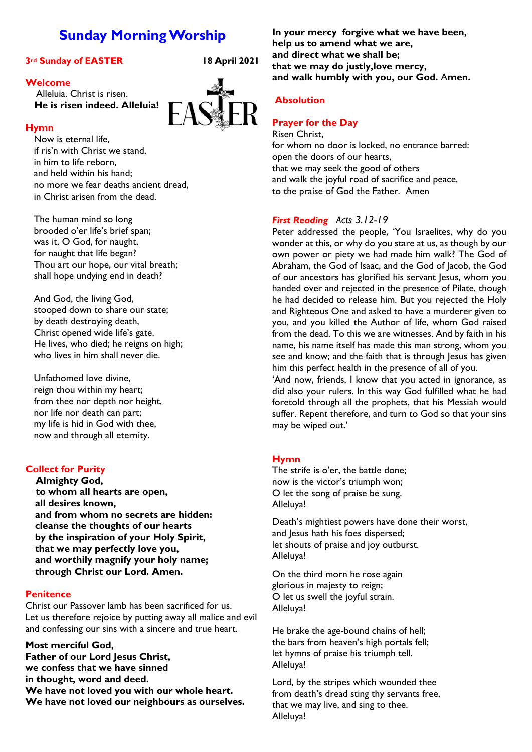# **Sunday Morning Worship**

### **3rd Sunday of EASTER 18 April 2021**

### **Welcome**

 Alleluia. Christ is risen. **He is risen indeed. Alleluia!**

### **Hymn**

Now is eternal life, if ris'n with Christ we stand, in him to life reborn, and held within his hand; no more we fear deaths ancient dread, in Christ arisen from the dead.

The human mind so long brooded o'er life's brief span; was it, O God, for naught, for naught that life began? Thou art our hope, our vital breath; shall hope undying end in death?

And God, the living God, stooped down to share our state; by death destroying death, Christ opened wide life's gate. He lives, who died; he reigns on high; who lives in him shall never die.

Unfathomed love divine, reign thou within my heart; from thee nor depth nor height, nor life nor death can part; my life is hid in God with thee, now and through all eternity.

### **Collect for Purity**

**Almighty God, to whom all hearts are open, all desires known, and from whom no secrets are hidden: cleanse the thoughts of our hearts by the inspiration of your Holy Spirit, that we may perfectly love you, and worthily magnify your holy name; through Christ our Lord. Amen.**

### **Penitence**

Christ our Passover lamb has been sacrificed for us. Let us therefore rejoice by putting away all malice and evil and confessing our sins with a sincere and true heart.

**Most merciful God, Father of our Lord Jesus Christ. we confess that we have sinned in thought, word and deed. We have not loved you with our whole heart. We have not loved our neighbours as ourselves.** **In your mercy forgive what we have been, help us to amend what we are, and direct what we shall be; that we may do justly,love mercy, and walk humbly with you, our God.** A**men.**

### **Absolution**

### **Prayer for the Day**

Risen Christ, for whom no door is locked, no entrance barred: open the doors of our hearts, that we may seek the good of others and walk the joyful road of sacrifice and peace, to the praise of God the Father. Amen

### *First Reading Acts 3.12-19*

Peter addressed the people, 'You Israelites, why do you wonder at this, or why do you stare at us, as though by our own power or piety we had made him walk? The God of Abraham, the God of Isaac, and the God of Jacob, the God of our ancestors has glorified his servant Jesus, whom you handed over and rejected in the presence of Pilate, though he had decided to release him. But you rejected the Holy and Righteous One and asked to have a murderer given to you, and you killed the Author of life, whom God raised from the dead. To this we are witnesses. And by faith in his name, his name itself has made this man strong, whom you see and know; and the faith that is through Jesus has given him this perfect health in the presence of all of you.

'And now, friends, I know that you acted in ignorance, as did also your rulers. In this way God fulfilled what he had foretold through all the prophets, that his Messiah would suffer. Repent therefore, and turn to God so that your sins may be wiped out.'

### **Hymn**

The strife is o'er, the battle done; now is the victor's triumph won; O let the song of praise be sung. Alleluya!

Death's mightiest powers have done their worst, and Jesus hath his foes dispersed; let shouts of praise and joy outburst. Alleluya!

On the third morn he rose again glorious in majesty to reign; O let us swell the joyful strain. Alleluya!

He brake the age-bound chains of hell; the bars from heaven's high portals fell; let hymns of praise his triumph tell. Alleluya!

Lord, by the stripes which wounded thee from death's dread sting thy servants free, that we may live, and sing to thee. Alleluya!